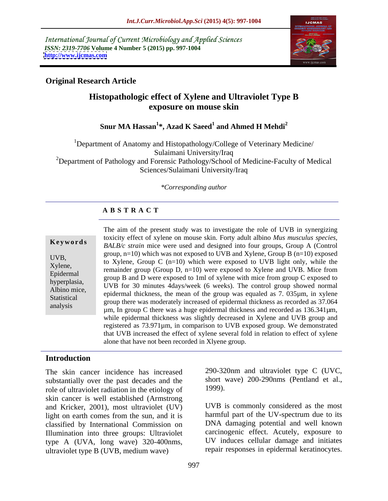International Journal of Current Microbiology and Applied Sciences *ISSN: 2319-7706* **Volume 4 Number 5 (2015) pp. 997-1004 <http://www.ijcmas.com>**



## **Original Research Article**

## **Histopathologic effect of Xylene and Ultraviolet Type B exposure on mouse skin**

#### **Snur MA Hassan<sup>1</sup> \*, Azad K Saeed<sup>1</sup> and Ahmed H Mehdi<sup>2</sup>**

1Department of Anatomy and Histopathology/College of Veterinary Medicine/ Sulaimani University/Iraq <sup>2</sup>Department of Pathology and Forensic Pathology/School of Medicine-Faculty of Medical Sciences/Sulaimani University/Iraq

#### *\*Corresponding author*

#### **A B S T R A C T**

analysis

The aim of the present study was to investigate the role of UVB in synergizing toxicity effect of xylene on mouse skin. Forty adult albino *Mus musculus species,* **Keywords** *BALB/c strain* mice were used and designed into four groups, Group A (Control) group,  $n=10$ ) which was not exposed to UVB and Xylene, Group B ( $n=10$ ) exposed UVB,<br>to Xylene, Group C ( $n=10$ ) which were exposed to UVB light only, while the  $X$ ylene,<br>
remainder group (Group D, n=10) were exposed to Xylene and UVB. Mice from Epidermal<br>group B and D were exposed to 1ml of xylene with mice from group C exposed to hyperplasia,<br>
UVB for 30 minutes 4days/week (6 weeks). The control group showed normal Albino mice,<br>
epidermal thickness, the mean of the group was equaled as 7. 035µm, in xylene<br>
Statistical are example the group was equaled as 7. 035µm, in xylene group there was moderately increased of epidermal thickness as recorded as 37.064 µm, In group C there was a huge epidermal thickness and recorded as 136.341µm, while epidermal thickness was slightly decreased in Xylene and UVB group and registered as 73.971µm, in comparison to UVB exposed group. We demonstrated that UVB increased the effect of xylene several fold in relation to effect of xylene alone that have not been recorded in Xlyene group.

#### **Introduction**

The skin cancer incidence has increased substantially over the past decades and the short v<br>role of ultraviolet radiation in the etiology of 1999). role of ultraviolet radiation in the etiology of skin cancer is well established (Armstrong and Kricker, 2001), most ultraviolet (UV) light on earth comes from the sun, and it is classified by International Commission on Illumination into three groups: Ultraviolet type A (UVA, long wave) 320-400nms, ultraviolet type B (UVB, medium wave)

290-320nm and ultraviolet type C (UVC, short wave) 200-290nms (Pentland et al., 1999).

UVB is commonly considered as the most harmful part of the UV-spectrum due to its DNA damaging potential and well known carcinogenic effect. Acutely, exposure to UV induces cellular damage and initiates repair responses in epidermal keratinocytes.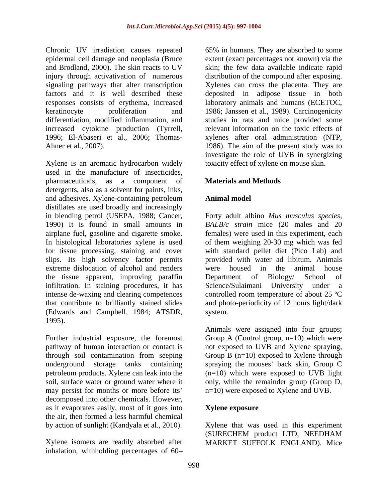and Brodland, 2000). The skin reacts to UV

Xylene is an aromatic hydrocarbon widely used in the manufacture of insecticides, pharmaceuticals, as a component of detergents, also as a solvent for paints, inks, and adhesives. Xylene-containing petroleum distillates are used broadly and increasingly in blending petrol (USEPA, 1988; Cancer, Forty adult albino *Mus musculus species,* 1990) It is found in small amounts in *BALB/c strain* mice (20 males and 20 airplane fuel, gasoline and cigarette smoke. females) were used in this experiment, each In histological laboratories xylene is used of them weighing 20-30 mg which was fed for tissue processing, staining and cover with standard pellet diet (Pico Lab) and slips. Its high solvency factor permits provided with water ad libitum. Animals extreme dislocation of alcohol and renders were housed in the animal house the tissue apparent, improving paraffin infiltration. In staining procedures, it has Science/Sulaimani University under a intense de-waxing and clearing competences controlled room temperature of about 25 ºC that contribute to brilliantly stained slides and photo-periodicity of 12 hours light/dark (Edwards and Campbell, 1984; ATSDR, 1995).

pathway of human interaction or contact is decomposed into other chemicals. However, as it evaporates easily, most of it goes into the air, then formed a less harmful chemical by action of sunlight (Kandyala et al., 2010). Xylene that was used in this experiment

Xylene isomers are readily absorbed after MARKET SUFFOLK ENGLAND). Miceinhalation, withholding percentages of 60

Chronic UV irradiation causes repeated 65% in humans. They are absorbed to some epidermal cell damage and neoplasia (Bruce extent (exact percentages not known) via the injury through activativation of numerous distribution of the compound after exposing. signaling pathways that alter transcription Xylenes can cross the placenta. They are factors and it is well described these deposited in adipose tissue in both responses consists of erythema, increased laboratory animals and humans (ECETOC, keratinocyte proliferation and 1986; Janssen et al., 1989). Carcinogenicity differentiation, modified inflammation, and studies in rats and mice provided some increased cytokine production (Tyrrell, relevant information on the toxic effects of 1996; El-Abaseri et al., 2006; Thomas- xylenes after oral administration (NTP, Ahner et al., 2007). **1986**). The aim of the present study was to skin; the few data available indicate rapid investigate the role of UVB in synergizing toxicity effect of xylene on mouse skin.

## **Materials and Methods**

### **Animal model**

were housed in the animal house Department of Biology/ School of Science/Sulaimani University under a system.

Further industrial exposure, the foremost Group A (Control group, n=10) which were through soil contamination from seeping Group B (n=10) exposed to Xylene through underground storage tanks containing spraying the mouses' back skin, Group C petroleum products. Xylene can leak into the (n=10) which were exposed to UVB light soil, surface water or ground water where it only, while the remainder group (Group D, may persist for months or more before its'  $n=10$ ) were exposed to Xylene and UVB. Animals were assigned into four groups; not exposed to UVB and Xylene spraying,

#### **Xylene exposure**

(SURECHEM product LTD, NEEDHAM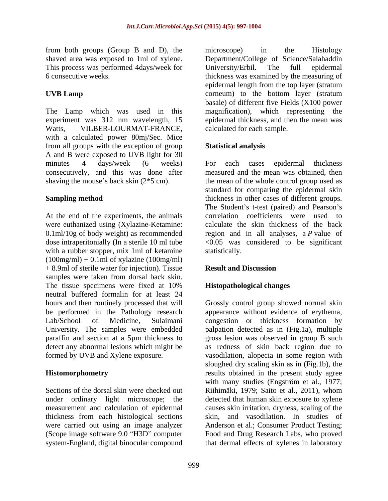from both groups (Group B and D), the This process was performed 4days/week for University/Erbil. The full epidermal

experiment was 312 nm wavelength, 15 Watts, VILBER-LOURMAT-FRANCE, with a calculated power 80mj/Sec. Mice from all groups with the exception of group Statistical analysis A and B were exposed to UVB light for 30 minutes 4 days/week (6 weeks) For each cases epidermal thickness consecutively, and this was done after shaving the mouse's back skin  $(2 \times 5 \text{ cm})$ . the mean of the whole control group used as

At the end of the experiments, the animals were euthanized using (Xylazine-Ketamine: 0.1ml/10g of body weight) as recommended with a rubber stopper, mix 1ml of ketamine statistically.  $(100mg/ml) + 0.1ml$  of xylazine  $(100mg/ml)$ + 8.9ml of sterile water for injection). Tissue Result and Discussion samples were taken from dorsal back skin. The tissue specimens were fixed at 10% **Histopathological changes** neutral buffered formalin for at least 24 be performed in the Pathology research

measurement and calculation of epidermal thickness from each histological sections (Scope image software 9.0 "H3D" computer system-England, digital binocular compound that dermal effects of xylenes in laboratory

shaved area was exposed to 1ml of xylene. Department/College of Science/Salahaddin 6 consecutive weeks. thickness was examined by the measuring of **UVB Lamp** corneum) to the bottom layer (stratum The Lamp which was used in this magnification), which representing the microscope) in the Histology University/Erbil. The full epidermal epidermal length from the top layer (stratum basale) of different five Fields (X100 power epidermal thickness, and then the mean was calculated for each sample.

## **Statistical analysis**

**Sampling method** thickness in other cases of different groups. dose intraperitonially (In a sterile 10 ml tube <0.05 was considered to be significant For each cases epidermal thickness measured and the mean was obtained, then standard for comparing the epidermal skin The Student's t-test (paired) and Pearson's correlation coefficients were used to calculate the skin thickness of the back region and in all analyses, a *P* value of statistically.

#### **Result and Discussion**

## **Histopathological changes**

hours and then routinely processed that will Grossly control group showed normal skin Lab/School of Medicine, Sulaimani congestion or thickness formation by University. The samples were embedded palpation detected as in (Fig.1a), multiple paraffin and section at a 5µm thickness to gross lesion was observed in group B such detect any abnormal lesions which might be as redness of skin back region due to formed by UVB and Xylene exposure. vasodilation, alopecia in some region with **Histomorphometry** results obtained in the present study agree Sections of the dorsal skin were checked out Riihimäki, 1979; Saito et al., 2011), whom under ordinary light microscope; the detected that human skin exposure to xylene were carried out using an image analyzer Anderson et al.; Consumer Product Testing; appearance without evidence of erythema, sloughed dry scaling skin as in (Fig.1b), the with many studies (Engström et al., 1977; causes skin irritation, dryness, scaling of the skin, and vasodilation. In studies of Food and Drug Research Labs, who proved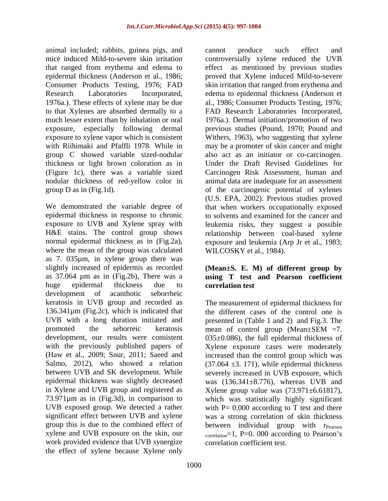animal included; rabbits, guinea pigs, and that ranged from erythema and edema to thickness or light brown coloration as in

We demonstrated the variable degree of that when workers occupationally exposed epidermal thickness in response to chronic to solvents and examined for the cancer and exposure to UVB and Xylene spray with leukemia risks, they suggest a possible H&E stains. The control group shows relationship between coal-based xylene normal epidermal thickness as in (Fig.2a), exposure and leukemia (Arp Jr et al., 1983; where the mean of the group was calculated as 7. 035µm, in xylene group there was slightly increased of epidermis as recorded **(Mean±S. E. M) of different group by** as 37.064 µm as in (Fig.2b), There was a **using T test and Pearson coefficient** huge epidermal thickness due to correlation test development of acanthotic seborrheic keratosis in UVB group and recorded as promoted the seborreic keratosis mean of control group (Mean $\pm$ SEM =7. work provided evidence that UVB synergize the effect of xylene because Xylene only

mice induced Mild-to-severe skin irritation controversially xylene reduced the UVB epidermal thickness (Anderson et al., 1986; proved that Xylene induced Mild-to-severe Consumer Products Testing, 1976; FAD skin irritation that ranged from erythema and Research Laboratories Incorporated, edema to epidermal thickness (Anderson et 1976a.). These effects of xylene may be due al., 1986; Consumer Products Testing, 1976; to that Xylenes are absorbed dermally to a FAD Research Laboratories Incorporated, much lesser extent than by inhalation or oral 1976a.). Dermal initiation/promotion of two exposure, especially following dermal previous studies (Pound, 1970; Pound and exposure to xylene vapor which is consistent Withers, 1963), who suggesting that xylene with Riihimaki and Pfaffli 1978. While in may be a promoter of skin cancer and might group C showed variable sized-nodular also act as an initiator or co-carcinogen. (Figure 1c), there was a variable sized Carcinogen Risk Assessment, human and nodular thickness of red-yellow color in animal data are inadequate for an assessment group D as in (Fig.1d). of the carcinogenic potential of xylenes cannot produce such effect and as mentioned by previous studies Under the Draft Revised Guidelines for (U.S. EPA, 2002). Previous studies proved WILCOSKY et al., 1984).

# **correlation test**

136.341µm (Fig.2c), which is indicated that the different cases of the control one is UVB with a long duration initiated and presented in (Table 1 and 2) and Fig.3. The development, our results were consistent 035±0.086), the full epidermal thickness of with the previously published papers of Xylene exposure cases were moderately (Haw et al., 2009; Snur, 2011; Saeed and increased than the control group which was Salmo, 2012), who showed a relation  $(37.064 \pm 3.171)$ , while epidermal thickness between UVB and SK development. While severely increased in UVB exposure, which epidermal thickness was slightly decreased was (136.341±8.776), whereas UVB and in Xylene and UVB group and registered as Xylene group value was (73.971±6.61817), 73.971µm as in (Fig.3d), in comparison to which was statistically highly significant UVB exposed group. We detected a rather  $with P = 0.000$  according to T test and there significant effect between UVB and xylene was a strong correlation of skin thickness group this is due to the combined effect of between individual group with r<sub>Pearson</sub> xylene and UVB exposure on the skin, our  $\qquad \qquad \text{correlation}=1, \text{ P=0. 000 according to Pearson's}$ The measurement of epidermal thickness for mean of control group (Mean±SEM =7. correlation coefficient test.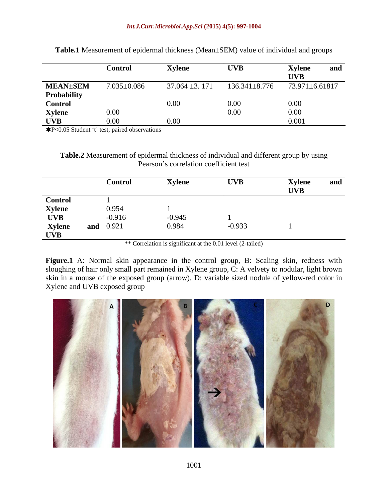|                 | <b>Control</b>    | Xylen.             | <b>UVB</b>          | <b>Xylene</b><br>ally |
|-----------------|-------------------|--------------------|---------------------|-----------------------|
|                 |                   |                    |                     | <b>TIVD</b>           |
| <b>MEAN±SEM</b> | $7.035 \pm 0.086$ | $37.064 \pm 3.171$ | $136.341 \pm 8.776$ | 73.971±6.61817        |
| Probability     |                   |                    |                     |                       |
| <b>Control</b>  |                   |                    |                     | 0.00                  |
| Xylene<br>UVB   | $0.00^{\circ}$    |                    | 0.00 <sub>1</sub>   | 0.00                  |
|                 |                   |                    |                     | 0.001                 |

**Table.1** Measurement of epidermal thickness (Mean±SEM) value of individual and groups

\*P<0.05 Student 't' test; paired observations

**Table.2** Measurement of epidermal thickness of individual and different group by using Pearson's correlation coefficient test

|                                               | Control          | <b>Xylene</b> | <b>UVB</b> | <b>Xylene</b><br><b>UVB</b> | and |
|-----------------------------------------------|------------------|---------------|------------|-----------------------------|-----|
|                                               |                  |               |            |                             |     |
| <b>Control</b><br><b>Xylene</b><br><b>UVB</b> | 0.954            |               |            |                             |     |
|                                               | $-0.916$         | $-0.945$      |            |                             |     |
| <b>Xylene</b>                                 | <b>and</b> 0.921 | 0.984         | $-0.933$   |                             |     |
| <b>UVB</b>                                    |                  |               |            |                             |     |

\*\* Correlation is significant at the 0.01 level (2-tailed)

**Figure.1** A: Normal skin appearance in the control group, B: Scaling skin, redness with sloughing of hair only small part remained in Xylene group, C: A velvety to nodular, light brown skin in a mouse of the exposed group (arrow), D: variable sized nodule of yellow-red color in Xylene and UVB exposed group

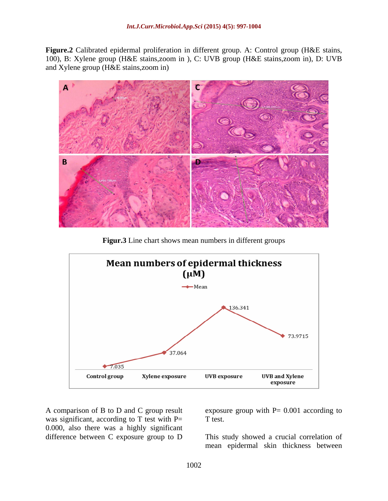**Figure.2** Calibrated epidermal proliferation in different group. A: Control group (H&E stains, 100), B: Xylene group (H&E stains,zoom in ), C: UVB group (H&E stains,zoom in), D: UVB and Xylene group (H&E stains,zoom in)



**Figur.3** Line chart shows mean numbers in different groups



was significant, according to  $T$  test with  $P=$  T test. 0.000, also there was a highly significant difference between C exposure group to D This study showed a crucial correlation of

A comparison of B to D and C group result exposure group with P= 0.001 according to T test.

mean epidermal skin thickness between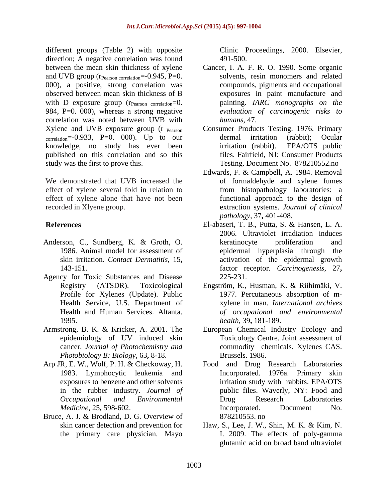different groups (Table 2) with opposite direction; A negative correlation was found  $491-500$ . and UVB group ( $r_{Pearson correlation} = -0.945$ , P=0. 000), a positive, strong correlation was observed between mean skin thickness of B with D exposure group  $(r_{Pearson\ correlation}=0$ . 984, P=0. 000), whereas a strong negative correlation was noted between UVB with humans, 47. correlation=-0.933, P=0. 000). Up to our dermal irritation (rabbit); Ocular knowledge, no study has ever been irritation (rabbit). EPA/OTS public published on this correlation and so this study was the first to prove this. Testing. Document No. 878210552.no

We demonstrated that UVB increased the effect of xylene several fold in relation to effect of xylene alone that have not been

- Anderson, C., Sundberg, K. & Groth, O.
- Agency for Toxic Substances and Disease 225-231. Profile for Xylenes (Update). Public
- Armstrong, B. K. & Kricker, A. 2001. The European Chemical Industry Ecology and cancer. *Journal of Photochemistry and Photobiology B: Biology,* 63**,** 8-18.
- Arp JR, E. W., Wolf, P. H. & Checkoway, H. in the rubber industry. *Journal of*
- Bruce, A. J. & Brodland, D. G. Overview of 878210553. no

Clinic Proceedings, 2000. Elsevier, 491-500.

- between the mean skin thickness of xylene Cancer, I. A. F. R. O. 1990. Some organic solvents, resin monomers and related compounds, pigments and occupational exposures in paint manufacture and painting. *IARC monographs on the evaluation of carcinogenic risks to humans,* 47.
- Xylene and UVB exposure group (r <sub>Pearson</sub> Consumer Products Testing. 1976. Primary dermal irritation (rabbit); Ocular irritation (rabbit). EPA/OTS public files. Fairfield, NJ: Consumer Products
- recorded in Xlyene group. extraction systems. *Journal of clinical* Edwards, F. & Campbell, A. 1984. Removal of formaldehyde and xylene fumes from histopathology laboratories: a functional approach to the design of *pathology,* 37**,** 401-408.
- **References** El-abaseri, T. B., Putta, S. & Hansen, L. A. 1986. Animal model for assessment of epidermal hyperplasia through the skin irritation. *Contact Dermatitis,* 15**,** activation of the epidermal growth 143-151. factor receptor. *Carcinogenesis,* 27**,** 2006. Ultraviolet irradiation induces keratinocyte proliferation and 225-231.
	- Registry (ATSDR). Toxicological Engström, K., Husman, K. & Riihimäki, V. Health Service, U.S. Department of xylene in man. *International archives* Health and Human Services. Altanta. *of occupational and environmental* 1995. *health,* 39**,** 181-189. 1977. Percutaneous absorption of m-
	- epidemiology of UV induced skin Toxicology Centre. Joint assessment of commodity chemicals. Xylenes CAS. Brussels. 1986.
	- 1983. Lymphocytic leukemia and Incorporated. 1976a. Primary skin exposures to benzene and other solvents irritation study with rabbits. EPA/OTS *Occupational and Environmental Medicine,* 25**,** 598-602. Food and Drug Research Laboratories public files. Waverly, NY: Food and Drug Research Laboratories Incorporated. Document No. 878210553. no
	- skin cancer detection and prevention for Haw, S., Lee, J. W., Shin, M. K. & Kim, N. the primary care physician. Mayo I. 2009. The effects of poly-gamma glutamic acid on broad band ultraviolet